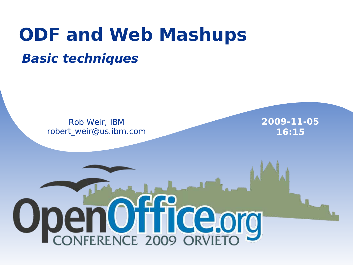### **ODF and Web Mashups Basic techniques**

Rob Weir, IBM robert\_weir@us.ibm.com **2009-11-05 16:15**

# OpenOffice.org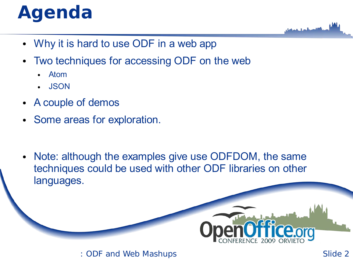# **Agenda**

- Why it is hard to use ODF in a web app
- Two techniques for accessing ODF on the web
	- **Atom**
	- **JSON**
- A couple of demos
- Some areas for exploration.
- Note: although the examples give use ODFDOM, the same techniques could be used with other ODF libraries on other languages.

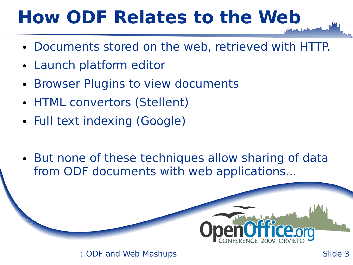## **How ODF Relates to the Web**

- Documents stored on the web, retrieved with HTTP.
- Launch platform editor
- Browser Plugins to view documents
- HTML convertors (Stellent)
- Full text indexing (Google)
- But none of these techniques allow sharing of data from ODF documents with web applications...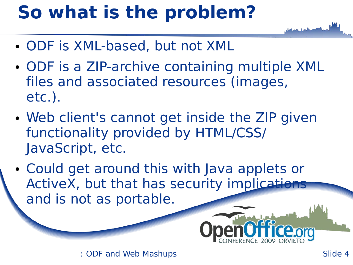# **So what is the problem?**

- ODF is XML-based, but not XML
- ODF is a ZIP-archive containing multiple XML files and associated resources (images, etc.).
- Web client's cannot get inside the ZIP given functionality provided by HTML/CSS/ JavaScript, etc.
- Could get around this with Java applets or ActiveX, but that has security implications and is not as portable.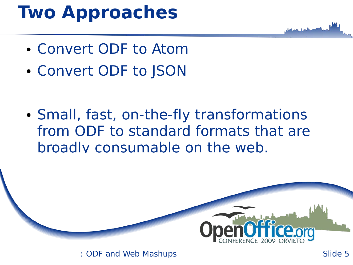### **Two Approaches**

- Convert ODF to Atom
- Convert ODF to JSON
- Small, fast, on-the-fly transformations from ODF to standard formats that are broadly consumable on the web.

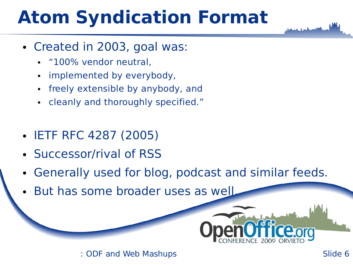# **Atom Syndication Format**

- Created in 2003, goal was:
	- "100% vendor neutral,
	- implemented by everybody,
	- freely extensible by anybody, and
	- cleanly and thoroughly specified."
- IETF RFC 4287 (2005)
- Successor/rival of RSS
- Generally used for blog, podcast and similar feeds.
- But has some broader uses as well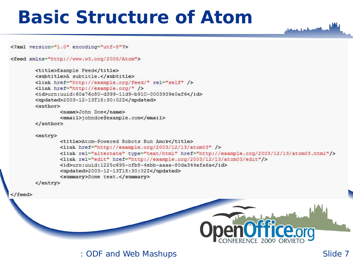#### **Basic Structure of Atom**

<?xml version="1.0" encoding="utf-8"?>

<feed xmlns="http://www.w3.org/2005/Atom">

```
<title>Example Feed</title>
<subtitle>A subtitle.</subtitle>
<link href="http://example.org/feed/" rel="self" />
<link href="http://example.org/" />
<id>urn:uuid:60a76c80-d399-11d9-b91C-0003939e0af6</id>
<updated>2003-12-13T18:30:02Z</updated>
<author>
       <name>John Doe</name>
       <email>johndoe@example.com</email>
</author>
<entry>
       <title>Atom-Powered Robots Run Amok</title>
        <link href="http://example.org/2003/12/13/atom03" />
        <link rel="alternate" type="text/html" href="http://example.org/2003/12/13/atom03.html"/>
        <link rel="edit" href="http://example.org/2003/12/13/atom03/edit"/>
        <id>urn:uuid:1225c695-cfb8-4ebb-aaaa-80da344efa6a</id>
        <updated>2003-12-13T18:30:02Z</updated>
       <summary>Some text.</summary>
```
 $\langle$ /entry>

</feed>

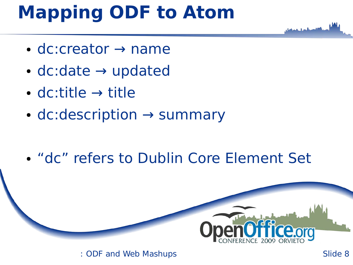## **Mapping ODF to Atom**

- $\bullet$  dc:creator  $\rightarrow$  name
- $\bullet$  dc:date  $\rightarrow$  updated
- dc:title  $\rightarrow$  title
- $\bullet$  dc:description  $\rightarrow$  summary
- $\bullet$ "dc" refers to Dublin Core Element Set

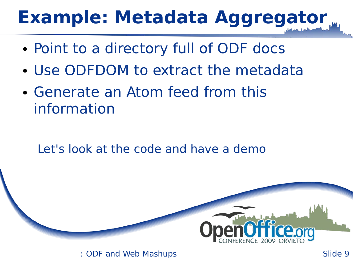# **Example: Metadata Aggregator**

- Point to a directory full of ODF docs
- Use ODFDOM to extract the metadata
- Generate an Atom feed from this information

Let's look at the code and have a demo

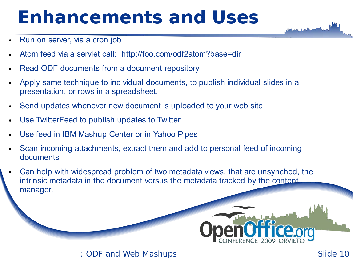### **Enhancements and Uses**

- Run on server, via a cron job
- Atom feed via a servlet call: http://foo.com/odf2atom?base=dir
- Read ODF documents from a document repository
- Apply same technique to individual documents, to publish individual slides in a presentation, or rows in a spreadsheet.
- Send updates whenever new document is uploaded to your web site
- Use TwitterFeed to publish updates to Twitter
- Use feed in IBM Mashup Center or in Yahoo Pipes
- Scan incoming attachments, extract them and add to personal feed of incoming documents
- Can help with widespread problem of two metadata views, that are unsynched, the intrinsic metadata in the document versus the metadata tracked by the content manager.

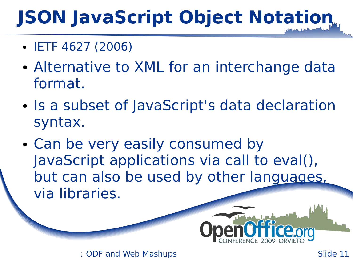# **JSON JavaScript Object Notation**

- IETF 4627 (2006)
- Alternative to XML for an interchange data format.
- Is a subset of JavaScript's data declaration syntax.
- Can be very easily consumed by JavaScript applications via call to eval(), but can also be used by other languages, via libraries.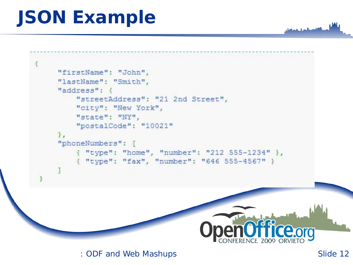# **JSON Example**

```
鹰
     "firstName": "John",
     "lastName": "Smith",
     "address": {
         "streetAddress": "21 2nd Street",
         "city": "New York",
         "state": "NY",
         "postalCode": "10021"
     T_{\rm eff}"phoneNumbers": [
           "type": "home", "number": "212 555-1234" },
          { "type": "fax", "number": "646 555-4567" }
```
: ODF and Web Mashups Slide 12

Ceorg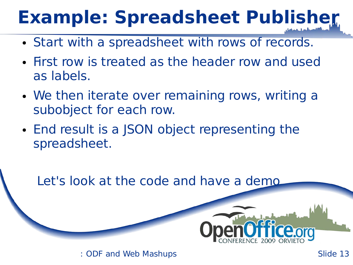# **Example: Spreadsheet Publisher**

- Start with a spreadsheet with rows of records.
- First row is treated as the header row and used as labels.
- We then iterate over remaining rows, writing a subobject for each row.
- End result is a JSON object representing the spreadsheet.

Let's look at the code and have a demo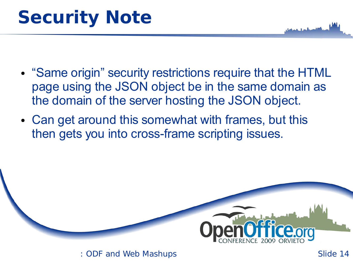- "Same origin" security restrictions require that the HTML page using the JSON object be in the same domain as the domain of the server hosting the JSON object.
- Can get around this somewhat with frames, but this then gets you into cross-frame scripting issues.

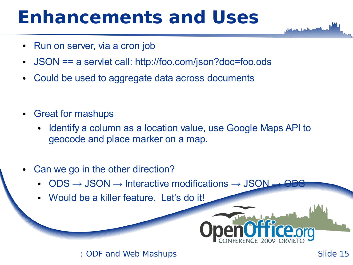#### **Enhancements and Uses**

- Run on server, via a cron job
- JSON == a servlet call: http://foo.com/json?doc=foo.ods
- Could be used to aggregate data across documents
- **Great for mashups** 
	- Identify a column as a location value, use Google Maps API to geocode and place marker on a map.
- Can we go in the other direction?
	- $\text{ODS} \rightarrow \text{JSON} \rightarrow \text{Interactive modifications} \rightarrow \text{JSON}$
	- Would be a killer feature. Let's do it!